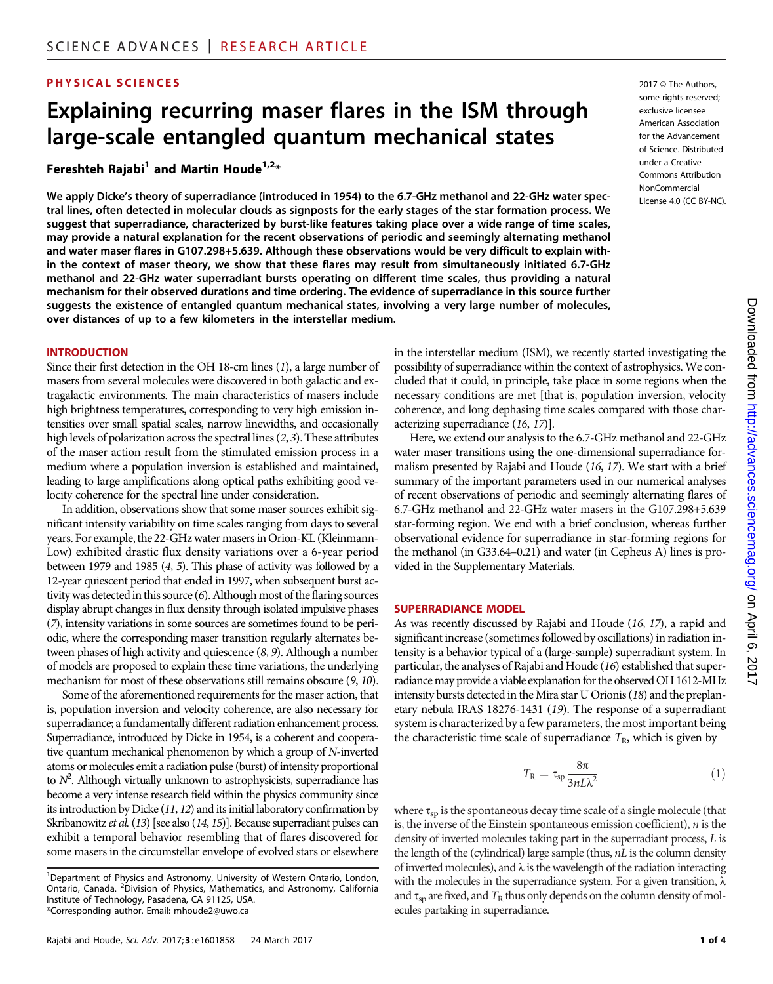## **PHYSICAL SCIENCES** 2017 © The Authors,

# Explaining recurring maser flares in the ISM through large-scale entangled quantum mechanical states

Fereshteh Rajabi<sup>1</sup> and Martin Houde<sup>1,2\*</sup>

We apply Dicke's theory of superradiance (introduced in 1954) to the 6.7-GHz methanol and 22-GHz water spectral lines, often detected in molecular clouds as signposts for the early stages of the star formation process. We suggest that superradiance, characterized by burst-like features taking place over a wide range of time scales, may provide a natural explanation for the recent observations of periodic and seemingly alternating methanol and water maser flares in G107.298+5.639. Although these observations would be very difficult to explain within the context of maser theory, we show that these flares may result from simultaneously initiated 6.7-GHz methanol and 22-GHz water superradiant bursts operating on different time scales, thus providing a natural mechanism for their observed durations and time ordering. The evidence of superradiance in this source further suggests the existence of entangled quantum mechanical states, involving a very large number of molecules, over distances of up to a few kilometers in the interstellar medium.

#### **INTRODUCTION**

Since their first detection in the OH 18-cm lines (1), a large number of masers from several molecules were discovered in both galactic and extragalactic environments. The main characteristics of masers include high brightness temperatures, corresponding to very high emission intensities over small spatial scales, narrow linewidths, and occasionally high levels of polarization across the spectral lines (2, 3). These attributes of the maser action result from the stimulated emission process in a medium where a population inversion is established and maintained, leading to large amplifications along optical paths exhibiting good velocity coherence for the spectral line under consideration.

In addition, observations show that some maser sources exhibit significant intensity variability on time scales ranging from days to several years. For example, the 22-GHz water masers in Orion-KL (Kleinmann-Low) exhibited drastic flux density variations over a 6-year period between 1979 and 1985 (4, 5). This phase of activity was followed by a 12-year quiescent period that ended in 1997, when subsequent burst activity was detected in this source (6). Although most of the flaring sources display abrupt changes in flux density through isolated impulsive phases (7), intensity variations in some sources are sometimes found to be periodic, where the corresponding maser transition regularly alternates between phases of high activity and quiescence (8, 9). Although a number of models are proposed to explain these time variations, the underlying mechanism for most of these observations still remains obscure (9, 10).

Some of the aforementioned requirements for the maser action, that is, population inversion and velocity coherence, are also necessary for superradiance; a fundamentally different radiation enhancement process. Superradiance, introduced by Dicke in 1954, is a coherent and cooperative quantum mechanical phenomenon by which a group of N-inverted atoms or molecules emit a radiation pulse (burst) of intensity proportional to  $N^2$ . Although virtually unknown to astrophysicists, superradiance has become a very intense research field within the physics community since its introduction by Dicke (11, 12) and its initial laboratory confirmation by Skribanowitz et al. (13) [see also (14, 15)]. Because superradiant pulses can exhibit a temporal behavior resembling that of flares discovered for some masers in the circumstellar envelope of evolved stars or elsewhere

<sup>1</sup>Department of Physics and Astronomy, University of Western Ontario, London, Ontario, Canada. <sup>2</sup> Division of Physics, Mathematics, and Astronomy, California Institute of Technology, Pasadena, CA 91125, USA. \*Corresponding author. Email: mhoude2@uwo.ca

some rights reserved; exclusive licensee American Association for the Advancement of Science. Distributed under a Creative Commons Attribution NonCommercial License 4.0 (CC BY-NC).

in the interstellar medium (ISM), we recently started investigating the possibility of superradiance within the context of astrophysics. We concluded that it could, in principle, take place in some regions when the necessary conditions are met [that is, population inversion, velocity coherence, and long dephasing time scales compared with those characterizing superradiance (16, 17)].

Here, we extend our analysis to the 6.7-GHz methanol and 22-GHz water maser transitions using the one-dimensional superradiance formalism presented by Rajabi and Houde (16, 17). We start with a brief summary of the important parameters used in our numerical analyses of recent observations of periodic and seemingly alternating flares of 6.7-GHz methanol and 22-GHz water masers in the G107.298+5.639 star-forming region. We end with a brief conclusion, whereas further observational evidence for superradiance in star-forming regions for the methanol (in G33.64–0.21) and water (in Cepheus A) lines is provided in the Supplementary Materials.

#### SUPERRADIANCE MODEL

As was recently discussed by Rajabi and Houde (16, 17), a rapid and significant increase (sometimes followed by oscillations) in radiation intensity is a behavior typical of a (large-sample) superradiant system. In particular, the analyses of Rajabi and Houde (16) established that superradiance may provide a viable explanation for the observed OH 1612-MHz intensity bursts detected in the Mira star U Orionis (18) and the preplanetary nebula IRAS 18276-1431 (19). The response of a superradiant system is characterized by a few parameters, the most important being the characteristic time scale of superradiance  $T<sub>R</sub>$ , which is given by

$$
T_{\rm R} = \tau_{\rm sp} \frac{8\pi}{3nL\lambda^2} \tag{1}
$$

where  $\tau_{\rm sn}$  is the spontaneous decay time scale of a single molecule (that is, the inverse of the Einstein spontaneous emission coefficient),  $n$  is the density of inverted molecules taking part in the superradiant process, L is the length of the (cylindrical) large sample (thus,  $nL$  is the column density of inverted molecules), and  $\lambda$  is the wavelength of the radiation interacting with the molecules in the superradiance system. For a given transition,  $\lambda$ and  $\tau_{\rm SD}$  are fixed, and  $T_{\rm R}$  thus only depends on the column density of molecules partaking in superradiance.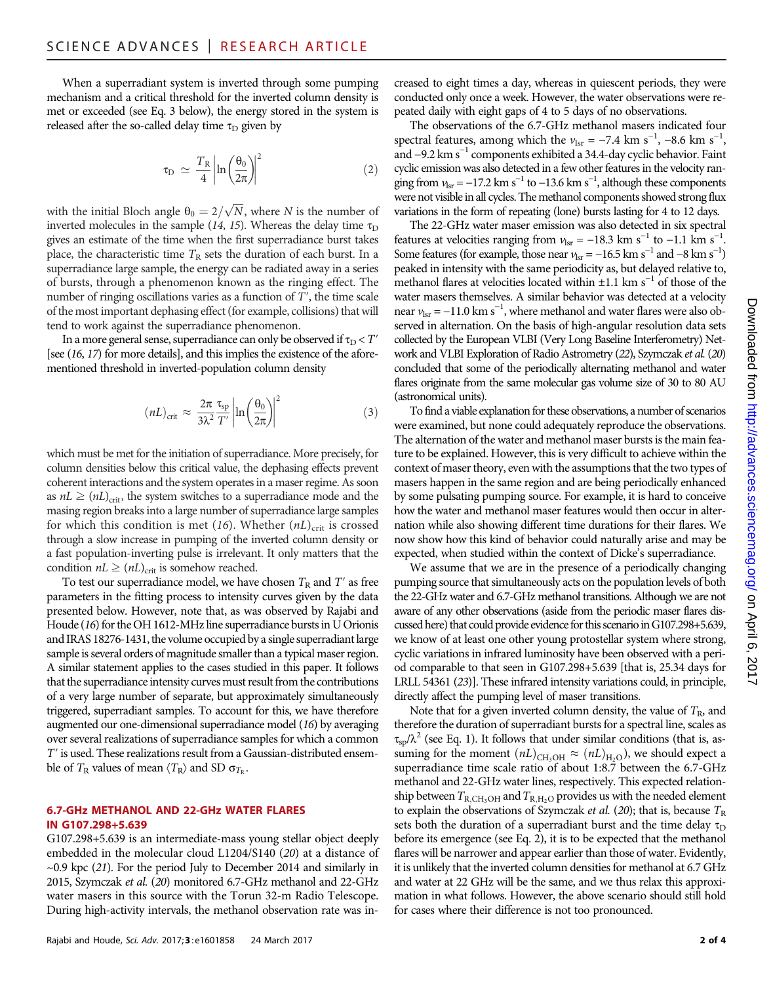When a superradiant system is inverted through some pumping mechanism and a critical threshold for the inverted column density is met or exceeded (see Eq. 3 below), the energy stored in the system is released after the so-called delay time  $\tau_D$  given by

$$
\tau_{\rm D} \simeq \frac{T_{\rm R}}{4} \left| \ln \left( \frac{\theta_0}{2\pi} \right) \right|^2 \tag{2}
$$

with the initial Bloch angle  $\theta_0 = 2/\sqrt{N}$ , where N is the number of inverted molecules in the sample (14, 15). Whereas the delay time  $\tau_D$ gives an estimate of the time when the first superradiance burst takes place, the characteristic time  $T_R$  sets the duration of each burst. In a superradiance large sample, the energy can be radiated away in a series of bursts, through a phenomenon known as the ringing effect. The number of ringing oscillations varies as a function of T′, the time scale of the most important dephasing effect(for example, collisions) that will tend to work against the superradiance phenomenon.

In a more general sense, superradiance can only be observed if  $\tau_D < T'$ [see (16, 17) for more details], and this implies the existence of the aforementioned threshold in inverted-population column density

$$
(nL)_{\text{crit}} \approx \frac{2\pi}{3\lambda^2} \frac{\tau_{\text{sp}}}{T'} \left| \ln \left( \frac{\theta_0}{2\pi} \right) \right|^2 \tag{3}
$$

which must be met for the initiation of superradiance. More precisely, for column densities below this critical value, the dephasing effects prevent coherent interactions and the system operates in a maser regime. As soon as  $nL \geq (nL)_{\text{crit}}$ , the system switches to a superradiance mode and the masing region breaks into a large number of superradiance large samples for which this condition is met (16). Whether  $(nL)_{crit}$  is crossed through a slow increase in pumping of the inverted column density or a fast population-inverting pulse is irrelevant. It only matters that the condition  $nL \geq (nL)_{\text{crit}}$  is somehow reached.

To test our superradiance model, we have chosen  $T_R$  and  $T'$  as free parameters in the fitting process to intensity curves given by the data presented below. However, note that, as was observed by Rajabi and Houde (16) for the OH 1612-MHz line superradiance bursts in U Orionis and IRAS 18276-1431, the volume occupied by a single superradiant large sample is several orders of magnitude smaller than a typical maser region. A similar statement applies to the cases studied in this paper. It follows that the superradiance intensity curves must result from the contributions of a very large number of separate, but approximately simultaneously triggered, superradiant samples. To account for this, we have therefore augmented our one-dimensional superradiance model (16) by averaging over several realizations of superradiance samples for which a common T′ is used. These realizations result from a Gaussian-distributed ensemble of  $T_R$  values of mean  $\langle T_R \rangle$  and SD  $\sigma_{T_P}$ .

## 6.7-GHz METHANOL AND 22-GHz WATER FLARES IN G107.298+5.639

G107.298+5.639 is an intermediate-mass young stellar object deeply embedded in the molecular cloud L1204/S140 (20) at a distance of  $\sim$ 0.9 kpc (21). For the period July to December 2014 and similarly in 2015, Szymczak et al. (20) monitored 6.7-GHz methanol and 22-GHz water masers in this source with the Torun 32-m Radio Telescope. During high-activity intervals, the methanol observation rate was increased to eight times a day, whereas in quiescent periods, they were conducted only once a week. However, the water observations were repeated daily with eight gaps of 4 to 5 days of no observations.

The observations of the 6.7-GHz methanol masers indicated four spectral features, among which the  $v_{\text{lsr}} = -7.4 \text{ km s}^{-1}$ ,  $-8.6 \text{ km s}^{-1}$ , and −9.2 km s−<sup>1</sup> components exhibited a 34.4-day cyclic behavior. Faint cyclic emission was also detected in a few other features in the velocity ranging from  $v_{\text{lsr}} = -17.2 \text{ km s}^{-1}$  to  $-13.6 \text{ km s}^{-1}$ , although these components were not visible in all cycles. The methanol components showed strong flux variations in the form of repeating (lone) bursts lasting for 4 to 12 days.

The 22-GHz water maser emission was also detected in six spectral features at velocities ranging from  $v_{\text{lsr}} = -18.3 \text{ km s}^{-1}$  to  $-1.1 \text{ km s}^{-1}$ . Some features (for example, those near  $v_{\text{lsr}} = -16.5 \text{ km s}^{-1}$  and  $-8 \text{ km s}^{-1}$ ) peaked in intensity with the same periodicity as, but delayed relative to, methanol flares at velocities located within  $\pm 1.1$  km s<sup>-1</sup> of those of the water masers themselves. A similar behavior was detected at a velocity near  $v_{\text{lsr}} = -11.0 \text{ km s}^{-1}$ , where methanol and water flares were also observed in alternation. On the basis of high-angular resolution data sets collected by the European VLBI (Very Long Baseline Interferometry) Network and VLBI Exploration of Radio Astrometry (22), Szymczak et al.(20) concluded that some of the periodically alternating methanol and water flares originate from the same molecular gas volume size of 30 to 80 AU (astronomical units).

To find a viable explanation for these observations, a number of scenarios were examined, but none could adequately reproduce the observations. The alternation of the water and methanol maser bursts is the main feature to be explained. However, this is very difficult to achieve within the context of maser theory, even with the assumptions that the two types of masers happen in the same region and are being periodically enhanced by some pulsating pumping source. For example, it is hard to conceive how the water and methanol maser features would then occur in alternation while also showing different time durations for their flares. We now show how this kind of behavior could naturally arise and may be expected, when studied within the context of Dicke's superradiance.

We assume that we are in the presence of a periodically changing pumping source that simultaneously acts on the population levels of both the 22-GHz water and 6.7-GHz methanol transitions. Although we are not aware of any other observations (aside from the periodic maser flares discussed here) that could provide evidence for this scenario in G107.298+5.639, we know of at least one other young protostellar system where strong, cyclic variations in infrared luminosity have been observed with a period comparable to that seen in G107.298+5.639 [that is, 25.34 days for LRLL 54361 (23)]. These infrared intensity variations could, in principle, directly affect the pumping level of maser transitions.

Note that for a given inverted column density, the value of  $T_R$ , and therefore the duration of superradiant bursts for a spectral line, scales as  $\tau_{\rm{sp}}/\lambda^2$  (see Eq. 1). It follows that under similar conditions (that is, assuming for the moment  $(nL)_{\text{CH}_3OH} \approx (nL)_{\text{H}_2O}$ , we should expect a superradiance time scale ratio of about 1:8.7 between the 6.7-GHz methanol and 22-GHz water lines, respectively. This expected relationship between  $T_{\rm R,CH_3OH}$  and  $T_{\rm R,H_2O}$  provides us with the needed element to explain the observations of Szymczak et al. (20); that is, because  $T_R$ sets both the duration of a superradiant burst and the time delay  $\tau_D$ before its emergence (see Eq. 2), it is to be expected that the methanol flares will be narrower and appear earlier than those of water. Evidently, it is unlikely that the inverted column densities for methanol at 6.7 GHz and water at 22 GHz will be the same, and we thus relax this approximation in what follows. However, the above scenario should still hold for cases where their difference is not too pronounced.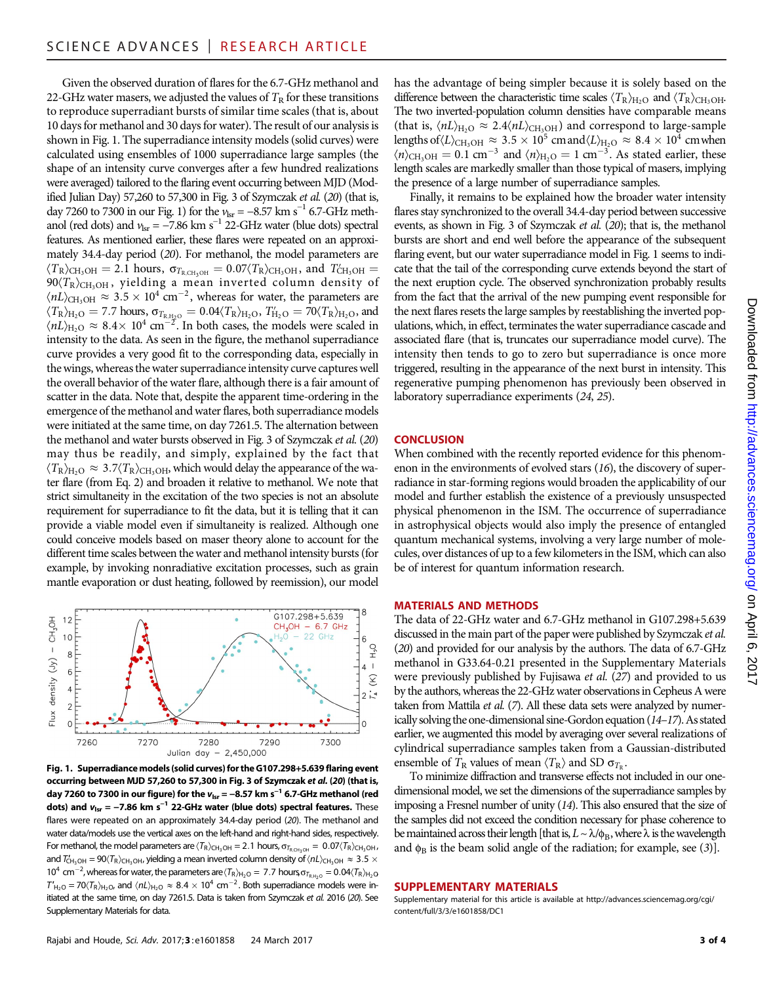Given the observed duration of flares for the 6.7-GHz methanol and 22-GHz water masers, we adjusted the values of  $T<sub>R</sub>$  for these transitions to reproduce superradiant bursts of similar time scales (that is, about 10 days for methanol and 30 days for water). The result of our analysis is shown in Fig. 1. The superradiance intensity models (solid curves) were calculated using ensembles of 1000 superradiance large samples (the shape of an intensity curve converges after a few hundred realizations were averaged) tailored to the flaring event occurring between MJD (Modified Julian Day) 57,260 to 57,300 in Fig. 3 of Szymczak et al. (20) (that is, day 7260 to 7300 in our Fig. 1) for the  $v_{\text{lsr}} = -8.57 \text{ km s}^{-1}$  6.7-GHz methanol (red dots) and  $v_{\text{lsr}} = -7.86 \text{ km s}^{-1}$  22-GHz water (blue dots) spectral features. As mentioned earlier, these flares were repeated on an approximately 34.4-day period (20). For methanol, the model parameters are  $\langle T_R \rangle_{\text{CH}_3\text{OH}} = 2.1$  hours,  $\sigma_{T_{R,\text{CH}_3\text{OH}}} = 0.07 \langle T_R \rangle_{\text{CH}_3\text{OH}}$ , and  $T'_{\text{CH}_3\text{OH}} = 0.07 \langle T_R \rangle_{\text{CH}_3\text{OH}}$  $90(T_R)_{\text{CH}_3\text{OH}}$ , yielding a mean inverted column density of  $\langle nL \rangle_{\text{CH}_3\text{OH}} \approx 3.5 \times 10^4 \text{ cm}^{-2}$ , whereas for water, the parameters are  $\langle T_{\rm R} \rangle_{\rm H_2O} = 7.7$  hours,  $\sigma_{T_{\rm R,H_2O}} = 0.04 \langle T_{\rm R} \rangle_{\rm H_2O}$ ,  $T_{\rm H_2O} = 70 \langle T_{\rm R} \rangle_{\rm H_2O}$ , and  $\langle nL \rangle_{\text{H}_2\text{O}} \approx 8.4 \times 10^4 \text{ cm}^{-2}$ . In both cases, the models were scaled in intensity to the data. As seen in the figure, the methanol superradiance curve provides a very good fit to the corresponding data, especially in the wings, whereas the water superradiance intensity curve captures well the overall behavior of the water flare, although there is a fair amount of scatter in the data. Note that, despite the apparent time-ordering in the emergence of the methanol and water flares, both superradiance models were initiated at the same time, on day 7261.5. The alternation between the methanol and water bursts observed in Fig. 3 of Szymczak et al. (20) may thus be readily, and simply, explained by the fact that  $\langle T_{\rm R} \rangle_{\rm H_2O} \approx 3.7 \langle T_{\rm R} \rangle_{\rm CH_3OH}$ , which would delay the appearance of the water flare (from Eq. 2) and broaden it relative to methanol. We note that strict simultaneity in the excitation of the two species is not an absolute requirement for superradiance to fit the data, but it is telling that it can provide a viable model even if simultaneity is realized. Although one could conceive models based on maser theory alone to account for the different time scales between the water and methanol intensity bursts (for example, by invoking nonradiative excitation processes, such as grain mantle evaporation or dust heating, followed by reemission), our model



Fig. 1. Superradiance models (solid curves) for the G107.298+5.639 flaring event occurring between MJD 57,260 to 57,300 in Fig. 3 of Szymczak et al. (20) (that is, day 7260 to 7300 in our figure) for the  $v_{\text{lsr}} = -8.57$  km s<sup>-1</sup> 6.7-GHz methanol (red dots) and  $v_{\text{lsr}} = -7.86$  km s<sup>-1</sup> 22-GHz water (blue dots) spectral features. These flares were repeated on an approximately 34.4-day period (20). The methanol and water data/models use the vertical axes on the left-hand and right-hand sides, respectively. For methanol, the model parameters are  $\langle T_R \rangle_{CH_3OH} = 2.1$  hours,  $\sigma_{T_{R,CH_3OH}} = 0.07 \langle T_R \rangle_{CH_3OH}$ , and  $T_{\rm CH_3OH}$  = 90 $\langle T_{\rm R} \rangle_{\rm CH_3OH}$ , yielding a mean inverted column density of  $\langle nL \rangle_{\rm CH_3OH} \approx 3.5 \times 10^{-10}$ 10<sup>4</sup> cm<sup>-2</sup>, whereas for water, the parameters are  $\langle T_R\rangle_{H_2O} = 7.7$  hours,  $\sigma_{T_{R,H_2O}} = 0.04 \langle T_R\rangle_{H_2O}$  $T'_{H_2O} = 70 \langle T_R \rangle_{H_2O}$ , and  $\langle nL \rangle_{H_2O} \approx 8.4 \times 10^4$  cm<sup>-2</sup>. Both superradiance models were initiated at the same time, on day 7261.5. Data is taken from Szymczak et al. 2016 (20). See Supplementary Materials for data.

has the advantage of being simpler because it is solely based on the difference between the characteristic time scales  $\langle T_R \rangle_{H_2O}$  and  $\langle T_R \rangle_{CH_3OH}$ . The two inverted-population column densities have comparable means (that is,  $\langle nL \rangle_{\text{H}_2\text{O}} \approx 2.4 \langle nL \rangle_{\text{CH}_3\text{OH}}$ ) and correspond to large-sample lengths of  $\langle L \rangle_\mathrm{CH_3OH} \approx 3.5 \times 10^5 \text{ cm}$  and  $\langle L \rangle_\mathrm{H_2O} \approx 8.4 \times 10^4 \text{ cm}$  when  $\langle n \rangle$ <sub>CH<sub>3</sub>OH = 0.1 cm<sup>-3</sup> and  $\langle n \rangle$ <sub>H<sub>2</sub>O = 1 cm<sup>-3</sup>. As stated earlier, these</sub></sub> length scales are markedly smaller than those typical of masers, implying the presence of a large number of superradiance samples.

Finally, it remains to be explained how the broader water intensity flares stay synchronized to the overall 34.4-day period between successive events, as shown in Fig. 3 of Szymczak et al. (20); that is, the methanol bursts are short and end well before the appearance of the subsequent flaring event, but our water superradiance model in Fig. 1 seems to indicate that the tail of the corresponding curve extends beyond the start of the next eruption cycle. The observed synchronization probably results from the fact that the arrival of the new pumping event responsible for the next flares resets the large samples by reestablishing the inverted populations, which, in effect, terminates the water superradiance cascade and associated flare (that is, truncates our superradiance model curve). The intensity then tends to go to zero but superradiance is once more triggered, resulting in the appearance of the next burst in intensity. This regenerative pumping phenomenon has previously been observed in laboratory superradiance experiments (24, 25).

#### **CONCLUSION**

When combined with the recently reported evidence for this phenomenon in the environments of evolved stars (16), the discovery of superradiance in star-forming regions would broaden the applicability of our model and further establish the existence of a previously unsuspected physical phenomenon in the ISM. The occurrence of superradiance in astrophysical objects would also imply the presence of entangled quantum mechanical systems, involving a very large number of molecules, over distances of up to a few kilometers in the ISM, which can also be of interest for quantum information research.

## MATERIALS AND METHODS

The data of 22-GHz water and 6.7-GHz methanol in G107.298+5.639 discussed in the main part of the paper were published by Szymczak et al. (20) and provided for our analysis by the authors. The data of 6.7-GHz methanol in G33.64-0.21 presented in the Supplementary Materials were previously published by Fujisawa et al. (27) and provided to us by the authors, whereas the 22-GHz water observations in Cepheus A were taken from Mattila et al. (7). All these data sets were analyzed by numerically solving the one-dimensional sine-Gordon equation (14–17). As stated earlier, we augmented this model by averaging over several realizations of cylindrical superradiance samples taken from a Gaussian-distributed ensemble of  $T_R$  values of mean  $\langle T_R \rangle$  and SD  $\sigma_{T_P}$ .

To minimize diffraction and transverse effects not included in our onedimensional model, we set the dimensions of the superradiance samples by imposing a Fresnel number of unity (14). This also ensured that the size of the samples did not exceed the condition necessary for phase coherence to be maintained across their length [that is,  $L \sim \lambda/\phi_B$ , where  $\lambda$  is the wavelength and  $\phi_B$  is the beam solid angle of the radiation; for example, see (3)].

#### SUPPLEMENTARY MATERIALS

Supplementary material for this article is available at [http://advances.sciencemag.org/cgi/](http://advances.sciencemag.org/cgi/content/full/3/3/e1601858/DC1) [content/full/3/3/e1601858/DC1](http://advances.sciencemag.org/cgi/content/full/3/3/e1601858/DC1)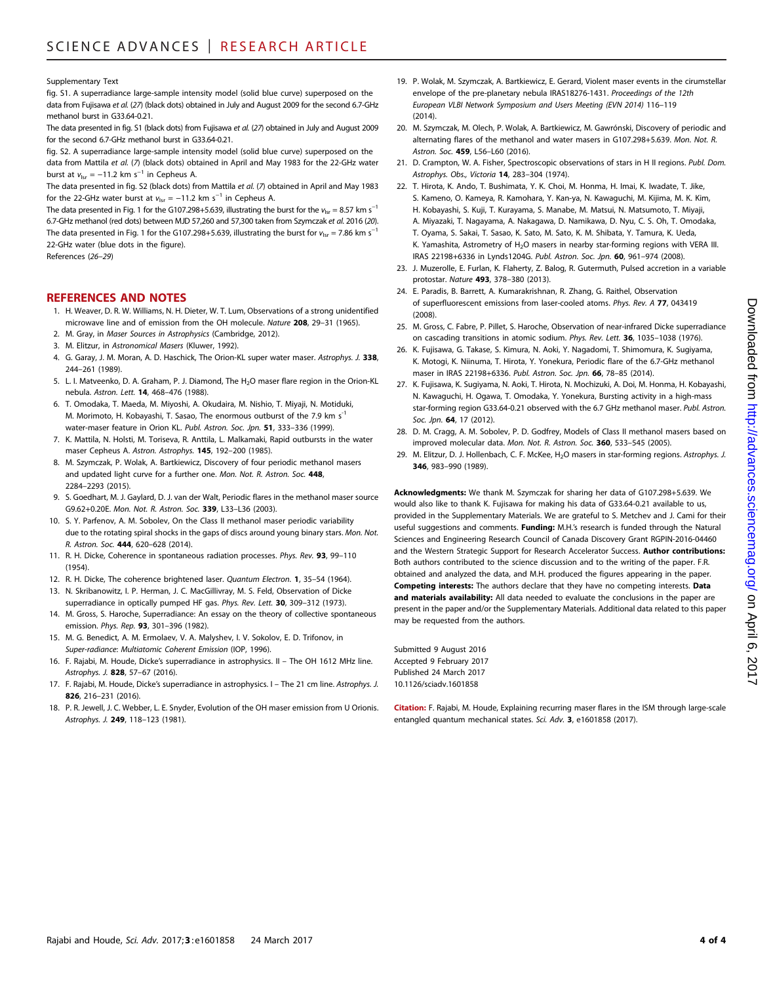Supplementary Text

fig. S1. A superradiance large-sample intensity model (solid blue curve) superposed on the data from Fujisawa et al. (27) (black dots) obtained in July and August 2009 for the second 6.7-GHz methanol burst in G33.64-0.21.

The data presented in fig. S1 (black dots) from Fujisawa et al. (27) obtained in July and August 2009 for the second 6.7-GHz methanol burst in G33.64-0.21.

fig. S2. A superradiance large-sample intensity model (solid blue curve) superposed on the data from Mattila et al. (7) (black dots) obtained in April and May 1983 for the 22-GHz water burst at  $v_{\text{lsr}} = -11.2 \text{ km s}^{-1}$  in Cepheus A.

The data presented in fig. S2 (black dots) from Mattila et al. (7) obtained in April and May 1983 for the 22-GHz water burst at  $v_{\text{lsr}} = -11.2$  km s<sup>-1</sup> in Cepheus A.

The data presented in Fig. 1 for the G107.298+5.639, illustrating the burst for the  $v_{lsr} = 8.57$  km s<sup>-1</sup> 6.7-GHz methanol (red dots) between MJD 57,260 and 57,300 taken from Szymczak et al. 2016 (20). The data presented in Fig. 1 for the G107.298+5.639, illustrating the burst for  $v_{\text{lsr}} = 7.86 \text{ km s}^{-1}$ 22-GHz water (blue dots in the figure).

References (26–29)

### REFERENCES AND NOTES

- 1. H. Weaver, D. R. W. Williams, N. H. Dieter, W. T. Lum, Observations of a strong unidentified microwave line and of emission from the OH molecule. Nature 208, 29-31 (1965).
- 2. M. Gray, in Maser Sources in Astrophysics (Cambridge, 2012).
- 3. M. Elitzur, in Astronomical Masers (Kluwer, 1992).
- 4. G. Garay, J. M. Moran, A. D. Haschick, The Orion-KL super water maser. Astrophys. J. 338, 244–261 (1989).
- 5. L. I. Matveenko, D. A. Graham, P. J. Diamond, The H<sub>2</sub>O maser flare region in the Orion-KL nebula. Astron. Lett. 14, 468–476 (1988).
- 6. T. Omodaka, T. Maeda, M. Miyoshi, A. Okudaira, M. Nishio, T. Miyaji, N. Motiduki, M. Morimoto, H. Kobayashi, T. Sasao, The enormous outburst of the 7.9 km s<sup>-1</sup> water-maser feature in Orion KL. Publ. Astron. Soc. Jpn. 51, 333-336 (1999).
- 7. K. Mattila, N. Holsti, M. Toriseva, R. Anttila, L. Malkamaki, Rapid outbursts in the water maser Cepheus A. Astron. Astrophys. 145, 192–200 (1985).
- 8. M. Szymczak, P. Wolak, A. Bartkiewicz, Discovery of four periodic methanol masers and updated light curve for a further one. Mon. Not. R. Astron. Soc. 448, 2284–2293 (2015).
- 9. S. Goedhart, M. J. Gaylard, D. J. van der Walt, Periodic flares in the methanol maser source G9.62+0.20E. Mon. Not. R. Astron. Soc. 339, L33–L36 (2003).
- 10. S. Y. Parfenov, A. M. Sobolev, On the Class II methanol maser periodic variability due to the rotating spiral shocks in the gaps of discs around young binary stars. Mon. Not. R. Astron. Soc. 444, 620–628 (2014).
- 11. R. H. Dicke, Coherence in spontaneous radiation processes. Phys. Rev. 93, 99–110 (1954).
- 12. R. H. Dicke, The coherence brightened laser. Quantum Electron. 1, 35–54 (1964).
- 13. N. Skribanowitz, I. P. Herman, J. C. MacGillivray, M. S. Feld, Observation of Dicke superradiance in optically pumped HF gas. Phys. Rev. Lett. 30, 309-312 (1973).
- 14. M. Gross, S. Haroche, Superradiance: An essay on the theory of collective spontaneous emission. Phys. Rep. 93, 301–396 (1982).
- 15. M. G. Benedict, A. M. Ermolaev, V. A. Malyshev, I. V. Sokolov, E. D. Trifonov, in Super-radiance: Multiatomic Coherent Emission (IOP, 1996).
- 16. F. Rajabi, M. Houde, Dicke's superradiance in astrophysics. II The OH 1612 MHz line. Astrophys. J. 828, 57–67 (2016).
- 17. F. Rajabi, M. Houde, Dicke's superradiance in astrophysics. I The 21 cm line. Astrophys. J. 826, 216–231 (2016).
- 18. P. R. Jewell, J. C. Webber, L. E. Snyder, Evolution of the OH maser emission from U Orionis. Astrophys. J. 249, 118–123 (1981).
- 19. P. Wolak, M. Szymczak, A. Bartkiewicz, E. Gerard, Violent maser events in the cirumstellar envelope of the pre-planetary nebula IRAS18276-1431. Proceedings of the 12th European VLBI Network Symposium and Users Meeting (EVN 2014) 116–119  $(2014)$
- 20. M. Szymczak, M. Olech, P. Wolak, A. Bartkiewicz, M. Gawrónski, Discovery of periodic and alternating flares of the methanol and water masers in G107.298+5.639. Mon. Not. R. Astron. Soc. 459, L56–L60 (2016).
- 21. D. Crampton, W. A. Fisher, Spectroscopic observations of stars in H II regions. Publ. Dom. Astrophys. Obs., Victoria 14, 283–304 (1974).
- 22. T. Hirota, K. Ando, T. Bushimata, Y. K. Choi, M. Honma, H. Imai, K. Iwadate, T. Jike, S. Kameno, O. Kameya, R. Kamohara, Y. Kan-ya, N. Kawaguchi, M. Kijima, M. K. Kim, H. Kobayashi, S. Kuji, T. Kurayama, S. Manabe, M. Matsui, N. Matsumoto, T. Miyaji, A. Miyazaki, T. Nagayama, A. Nakagawa, D. Namikawa, D. Nyu, C. S. Oh, T. Omodaka, T. Oyama, S. Sakai, T. Sasao, K. Sato, M. Sato, K. M. Shibata, Y. Tamura, K. Ueda, K. Yamashita, Astrometry of  $H_2O$  masers in nearby star-forming regions with VERA III. IRAS 22198+6336 in Lynds1204G. Publ. Astron. Soc. Jpn. 60, 961–974 (2008).
- 23. J. Muzerolle, E. Furlan, K. Flaherty, Z. Balog, R. Gutermuth, Pulsed accretion in a variable protostar. Nature 493, 378–380 (2013).
- 24. E. Paradis, B. Barrett, A. Kumarakrishnan, R. Zhang, G. Raithel, Observation of superfluorescent emissions from laser-cooled atoms. Phys. Rev. A 77, 043419 (2008).
- 25. M. Gross, C. Fabre, P. Pillet, S. Haroche, Observation of near-infrared Dicke superradiance on cascading transitions in atomic sodium. Phys. Rev. Lett. 36, 1035–1038 (1976).
- 26. K. Fujisawa, G. Takase, S. Kimura, N. Aoki, Y. Nagadomi, T. Shimomura, K. Sugiyama, K. Motogi, K. Niinuma, T. Hirota, Y. Yonekura, Periodic flare of the 6.7-GHz methanol maser in IRAS 22198+6336. Publ. Astron. Soc. Jpn. 66, 78-85 (2014).
- 27. K. Fujisawa, K. Sugiyama, N. Aoki, T. Hirota, N. Mochizuki, A. Doi, M. Honma, H. Kobayashi, N. Kawaguchi, H. Ogawa, T. Omodaka, Y. Yonekura, Bursting activity in a high-mass star-forming region G33.64-0.21 observed with the 6.7 GHz methanol maser. Publ. Astron. Soc. Jpn. **64**, 17 (2012).
- 28. D. M. Cragg, A. M. Sobolev, P. D. Godfrey, Models of Class II methanol masers based on improved molecular data. Mon. Not. R. Astron. Soc. 360, 533–545 (2005).
- 29. M. Elitzur, D. J. Hollenbach, C. F. McKee, H<sub>2</sub>O masers in star-forming regions. Astrophys. J. 346, 983–990 (1989).

Acknowledgments: We thank M. Szymczak for sharing her data of G107.298+5.639. We would also like to thank K. Fujisawa for making his data of G33.64-0.21 available to us, provided in the Supplementary Materials. We are grateful to S. Metchev and J. Cami for their useful suggestions and comments. Funding: M.H.'s research is funded through the Natural Sciences and Engineering Research Council of Canada Discovery Grant RGPIN-2016-04460 and the Western Strategic Support for Research Accelerator Success. **Author contributions:** Both authors contributed to the science discussion and to the writing of the paper. F.R. obtained and analyzed the data, and M.H. produced the figures appearing in the paper. Competing interests: The authors declare that they have no competing interests. Data and materials availability: All data needed to evaluate the conclusions in the paper are present in the paper and/or the Supplementary Materials. Additional data related to this paper may be requested from the authors.

Submitted 9 August 2016 Accepted 9 February 2017 Published 24 March 2017 10.1126/sciadv.1601858

Citation: F. Rajabi, M. Houde, Explaining recurring maser flares in the ISM through large-scale entangled quantum mechanical states. Sci. Adv. 3, e1601858 (2017).